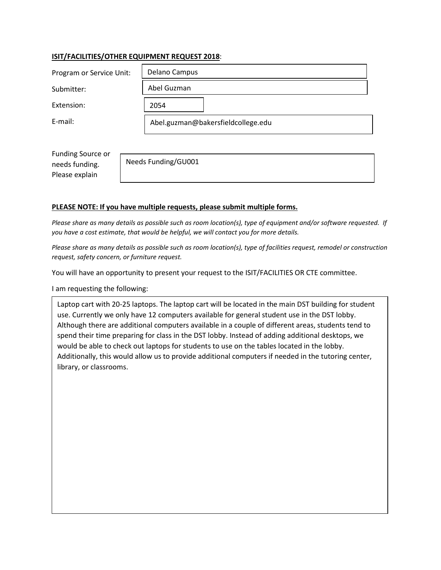# **ISIT/FACILITIES/OTHER EQUIPMENT REQUEST 2018**:

| Program or Service Unit: | Delano Campus                      |
|--------------------------|------------------------------------|
| Submitter:               | Abel Guzman                        |
| Extension:               | 2054                               |
| E-mail:                  | Abel.guzman@bakersfieldcollege.edu |

Funding Source or needs funding. Please explain

Needs Funding/GU001

## **PLEASE NOTE: If you have multiple requests, please submit multiple forms.**

*Please share as many details as possible such as room location(s), type of equipment and/or software requested. If you have a cost estimate, that would be helpful, we will contact you for more details.* 

*Please share as many details as possible such as room location(s), type of facilities request, remodel or construction request, safety concern, or furniture request.* 

You will have an opportunity to present your request to the ISIT/FACILITIES OR CTE committee.

I am requesting the following:

Laptop cart with 20-25 laptops. The laptop cart will be located in the main DST building for student use. Currently we only have 12 computers available for general student use in the DST lobby. Although there are additional computers available in a couple of different areas, students tend to spend their time preparing for class in the DST lobby. Instead of adding additional desktops, we would be able to check out laptops for students to use on the tables located in the lobby. Additionally, this would allow us to provide additional computers if needed in the tutoring center, library, or classrooms.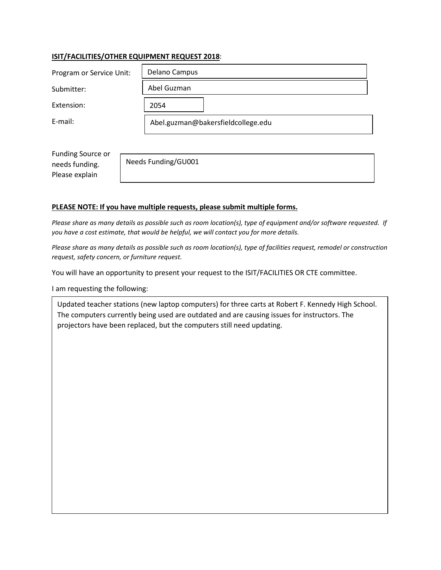# **ISIT/FACILITIES/OTHER EQUIPMENT REQUEST 2018**:

| Program or Service Unit: | Delano Campus                      |
|--------------------------|------------------------------------|
| Submitter:               | Abel Guzman                        |
| Extension:               | 2054                               |
| E-mail:                  | Abel.guzman@bakersfieldcollege.edu |

Funding Source or needs funding. Please explain

Needs Funding/GU001

#### **PLEASE NOTE: If you have multiple requests, please submit multiple forms.**

*Please share as many details as possible such as room location(s), type of equipment and/or software requested. If you have a cost estimate, that would be helpful, we will contact you for more details.* 

*Please share as many details as possible such as room location(s), type of facilities request, remodel or construction request, safety concern, or furniture request.* 

You will have an opportunity to present your request to the ISIT/FACILITIES OR CTE committee.

I am requesting the following:

Updated teacher stations (new laptop computers) for three carts at Robert F. Kennedy High School. The computers currently being used are outdated and are causing issues for instructors. The projectors have been replaced, but the computers still need updating.